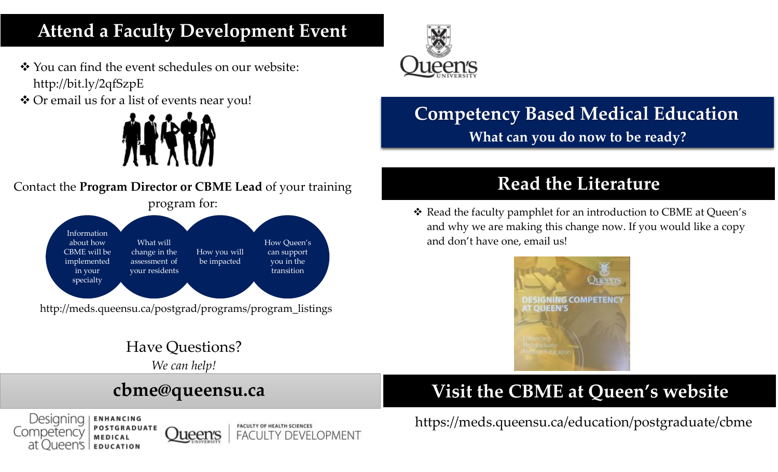# **Attend a Faculty Development Event**

- ❖ You can find the event schedules on our website: http://bit.ly/2qfSzpE
- ❖ Or email us for a list of events near you!

**POSTGRADUATE** 

MEDICAL

**EDUCATION** 

Competency

at Oueen's





**Oueen's** 

**FACULTY OF HEALTH SCIENCES** 

**FACULTY DEVELOPMENT** 



# **Competency Based Medical Education What can you do now to be ready?**

# **Read the Literature**

❖ Read the faculty pamphlet for an introduction to CBME at Queen's and why we are making this change now. If you would like a copy and don't have one, email us!



# **Visit the CBME at Queen's website**

https://meds.queensu.ca/education/postgraduate/cbme